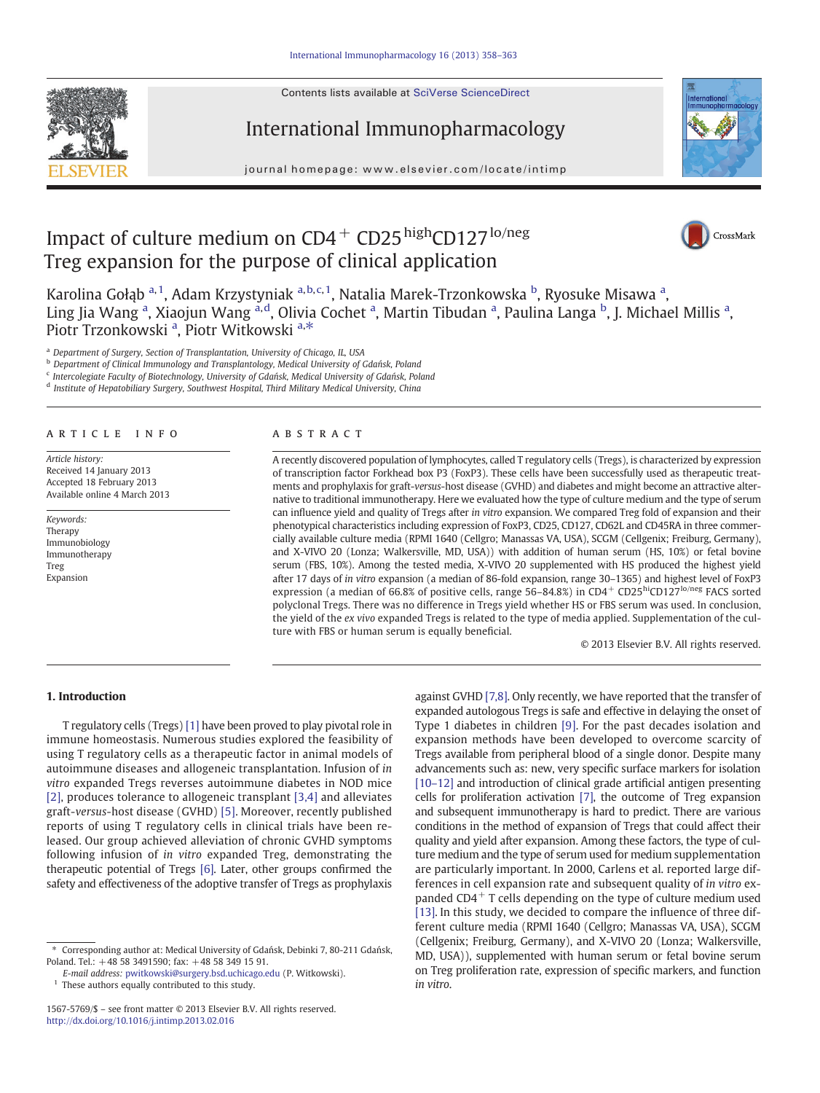Contents lists available at SciVerse ScienceDirect





journal homepage: www.elsevier.com/locate/intimp



# Impact of culture medium on  $CD4^+$  CD25<sup>high</sup>CD127<sup>lo/neg</sup> Treg expansion for the purpose of clinical application



Karolina Gołąb <sup>a, 1</sup>, Adam Krzystyniak <sup>a, b, c, 1</sup>, Natalia Marek-Trzonkowska <sup>b</sup>, Ryosuke Misawa <sup>a</sup>, Ling Jia Wang <sup>a</sup>, Xiaojun Wang <sup>a,d</sup>, Olivia Cochet <sup>a</sup>, Martin Tibudan <sup>a</sup>, Paulina Langa <sup>b</sup>, J. Michael Millis <sup>a</sup>, Piotr Trzonkowski<sup>a</sup>, Piotr Witkowski<sup>a,\*</sup>

<sup>a</sup> Department of Surgery, Section of Transplantation, University of Chicago, IL, USA

<sup>b</sup> Department of Clinical Immunology and Transplantology, Medical University of Gdańsk, Poland

<sup>c</sup> Intercolegiate Faculty of Biotechnology, University of Gdańsk, Medical University of Gdańsk, Poland

<sup>d</sup> Institute of Hepatobiliary Surgery, Southwest Hospital, Third Military Medical University, China

# article info abstract

Article history: Received 14 January 2013 Accepted 18 February 2013 Available online 4 March 2013

Keywords: Therapy Immunobiology Immunotherapy Treg Expansion

A recently discovered population of lymphocytes, called T regulatory cells (Tregs), is characterized by expression of transcription factor Forkhead box P3 (FoxP3). These cells have been successfully used as therapeutic treatments and prophylaxis for graft-versus-host disease (GVHD) and diabetes and might become an attractive alternative to traditional immunotherapy. Here we evaluated how the type of culture medium and the type of serum can influence yield and quality of Tregs after in vitro expansion. We compared Treg fold of expansion and their phenotypical characteristics including expression of FoxP3, CD25, CD127, CD62L and CD45RA in three commercially available culture media (RPMI 1640 (Cellgro; Manassas VA, USA), SCGM (Cellgenix; Freiburg, Germany), and X-VIVO 20 (Lonza; Walkersville, MD, USA)) with addition of human serum (HS, 10%) or fetal bovine serum (FBS, 10%). Among the tested media, X-VIVO 20 supplemented with HS produced the highest yield after 17 days of in vitro expansion (a median of 86-fold expansion, range 30–1365) and highest level of FoxP3 expression (a median of 66.8% of positive cells, range 56-84.8%) in CD4+ CD25hiCD127lo/neg FACS sorted polyclonal Tregs. There was no difference in Tregs yield whether HS or FBS serum was used. In conclusion, the yield of the ex vivo expanded Tregs is related to the type of media applied. Supplementation of the culture with FBS or human serum is equally beneficial.

© 2013 Elsevier B.V. All rights reserved.

# 1. Introduction

T regulatory cells (Tregs) [\[1\]](#page-4-0) have been proved to play pivotal role in immune homeostasis. Numerous studies explored the feasibility of using T regulatory cells as a therapeutic factor in animal models of autoimmune diseases and allogeneic transplantation. Infusion of in vitro expanded Tregs reverses autoimmune diabetes in NOD mice [\[2\]](#page-4-0), produces tolerance to allogeneic transplant [\[3,4\]](#page-4-0) and alleviates graft-versus-host disease (GVHD) [\[5\]](#page-4-0). Moreover, recently published reports of using T regulatory cells in clinical trials have been released. Our group achieved alleviation of chronic GVHD symptoms following infusion of in vitro expanded Treg, demonstrating the therapeutic potential of Tregs [\[6\]](#page-4-0). Later, other groups confirmed the safety and effectiveness of the adoptive transfer of Tregs as prophylaxis

E-mail address: [pwitkowski@surgery.bsd.uchicago.edu](mailto:pwitkowski@surgery.bsd.uchicago.edu) (P. Witkowski).

<sup>1</sup> These authors equally contributed to this study.

against GVHD [\[7,8\].](#page-4-0) Only recently, we have reported that the transfer of expanded autologous Tregs is safe and effective in delaying the onset of Type 1 diabetes in children [\[9\]](#page-4-0). For the past decades isolation and expansion methods have been developed to overcome scarcity of Tregs available from peripheral blood of a single donor. Despite many advancements such as: new, very specific surface markers for isolation [\[10](#page-4-0)-12] and introduction of clinical grade artificial antigen presenting cells for proliferation activation [\[7\]](#page-4-0), the outcome of Treg expansion and subsequent immunotherapy is hard to predict. There are various conditions in the method of expansion of Tregs that could affect their quality and yield after expansion. Among these factors, the type of culture medium and the type of serum used for medium supplementation are particularly important. In 2000, Carlens et al. reported large differences in cell expansion rate and subsequent quality of in vitro expanded CD4 $+$  T cells depending on the type of culture medium used [\[13\]](#page-4-0). In this study, we decided to compare the influence of three different culture media (RPMI 1640 (Cellgro; Manassas VA, USA), SCGM (Cellgenix; Freiburg, Germany), and X-VIVO 20 (Lonza; Walkersville, MD, USA)), supplemented with human serum or fetal bovine serum on Treg proliferation rate, expression of specific markers, and function in vitro.

<sup>⁎</sup> Corresponding author at: Medical University of Gdańsk, Debinki 7, 80-211 Gdańsk, Poland. Tel.: +48 58 3491590; fax: +48 58 349 15 91.

<sup>1567-5769/\$</sup> – see front matter © 2013 Elsevier B.V. All rights reserved. <http://dx.doi.org/10.1016/j.intimp.2013.02.016>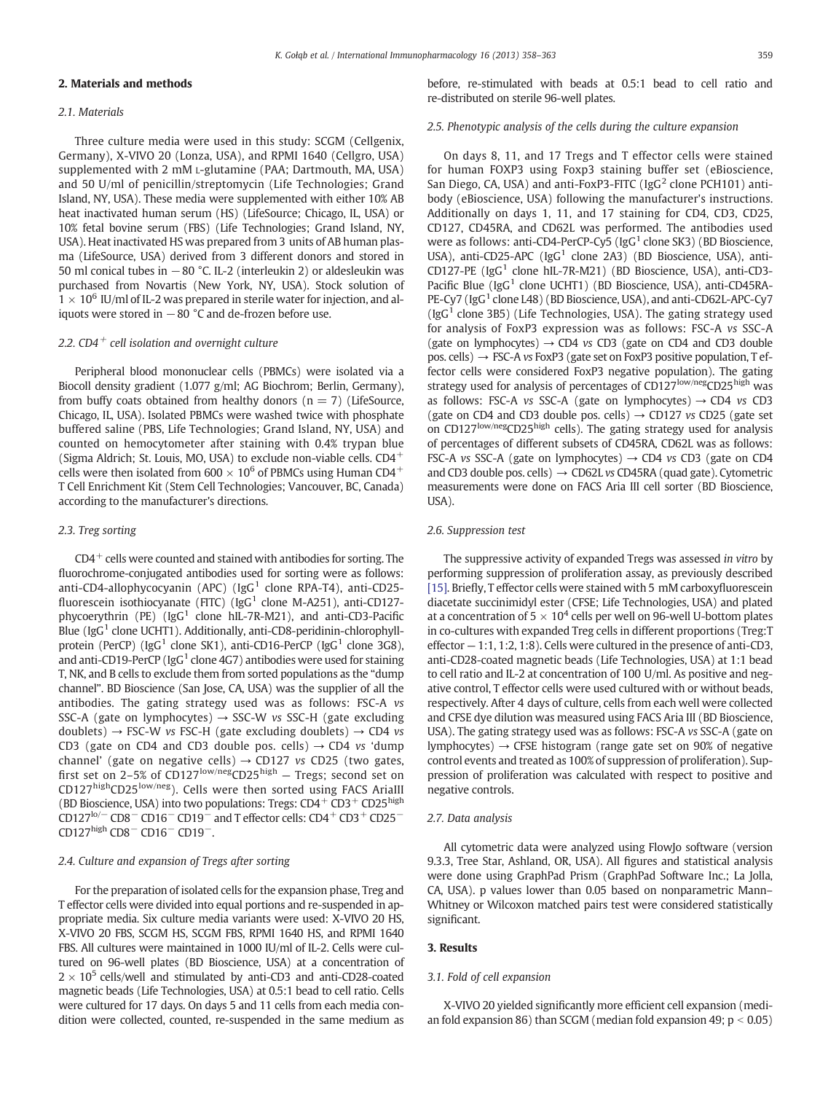# 2. Materials and methods

#### 2.1. Materials

Three culture media were used in this study: SCGM (Cellgenix, Germany), X-VIVO 20 (Lonza, USA), and RPMI 1640 (Cellgro, USA) supplemented with 2 mM L-glutamine (PAA; Dartmouth, MA, USA) and 50 U/ml of penicillin/streptomycin (Life Technologies; Grand Island, NY, USA). These media were supplemented with either 10% AB heat inactivated human serum (HS) (LifeSource; Chicago, IL, USA) or 10% fetal bovine serum (FBS) (Life Technologies; Grand Island, NY, USA). Heat inactivated HS was prepared from 3 units of AB human plasma (LifeSource, USA) derived from 3 different donors and stored in 50 ml conical tubes in −80 °C. IL-2 (interleukin 2) or aldesleukin was purchased from Novartis (New York, NY, USA). Stock solution of  $1 \times 10^6$  IU/ml of IL-2 was prepared in sterile water for injection, and aliquots were stored in  $-80$  °C and de-frozen before use.

# 2.2.  $CD4^+$  cell isolation and overnight culture

Peripheral blood mononuclear cells (PBMCs) were isolated via a Biocoll density gradient (1.077 g/ml; AG Biochrom; Berlin, Germany), from buffy coats obtained from healthy donors ( $n = 7$ ) (LifeSource, Chicago, IL, USA). Isolated PBMCs were washed twice with phosphate buffered saline (PBS, Life Technologies; Grand Island, NY, USA) and counted on hemocytometer after staining with 0.4% trypan blue (Sigma Aldrich; St. Louis, MO, USA) to exclude non-viable cells. CD4<sup>+</sup> cells were then isolated from 600  $\times$  10<sup>6</sup> of PBMCs using Human CD4<sup>+</sup> T Cell Enrichment Kit (Stem Cell Technologies; Vancouver, BC, Canada) according to the manufacturer's directions.

#### 2.3. Treg sorting

 $CD4^+$  cells were counted and stained with antibodies for sorting. The fluorochrome-conjugated antibodies used for sorting were as follows: anti-CD4-allophycocyanin (APC) (IgG<sup>1</sup> clone RPA-T4), anti-CD25fluorescein isothiocyanate (FITC) (IgG<sup>1</sup> clone M-A251), anti-CD127phycoerythrin (PE) ( $\text{IgG}^1$  clone hIL-7R-M21), and anti-CD3-Pacific Blue ( $\text{IgG}^1$  clone UCHT1). Additionally, anti-CD8-peridinin-chlorophyllprotein (PerCP) ( $\lg G^1$  clone SK1), anti-CD16-PerCP ( $\lg G^1$  clone 3G8), and anti-CD19-PerCP ( $IgG<sup>1</sup>$  clone 4G7) antibodies were used for staining T, NK, and B cells to exclude them from sorted populations as the "dump channel". BD Bioscience (San Jose, CA, USA) was the supplier of all the antibodies. The gating strategy used was as follows: FSC-A vs SSC-A (gate on lymphocytes)  $\rightarrow$  SSC-W vs SSC-H (gate excluding doublets)  $\rightarrow$  FSC-W vs FSC-H (gate excluding doublets)  $\rightarrow$  CD4 vs CD3 (gate on CD4 and CD3 double pos. cells)  $\rightarrow$  CD4 vs 'dump channel' (gate on negative cells)  $\rightarrow$  CD127 vs CD25 (two gates, first set on 2–5% of CD127<sup>low/neg</sup>CD25<sup>high</sup> – Tregs; second set on CD127highCD25low/neg). Cells were then sorted using FACS AriaIII (BD Bioscience, USA) into two populations: Tregs:  $CD4^+$  CD3<sup>+</sup> CD25<sup>high</sup> CD127<sup>lo/−</sup> CD8<sup>−</sup> CD16<sup>−</sup> CD19<sup>−</sup> and T effector cells: CD4<sup>+</sup> CD3<sup>+</sup> CD25<sup>−</sup> CD127high CD8<sup>−</sup> CD16<sup>−</sup> CD19−.

# 2.4. Culture and expansion of Tregs after sorting

For the preparation of isolated cells for the expansion phase, Treg and T effector cells were divided into equal portions and re-suspended in appropriate media. Six culture media variants were used: X-VIVO 20 HS, X-VIVO 20 FBS, SCGM HS, SCGM FBS, RPMI 1640 HS, and RPMI 1640 FBS. All cultures were maintained in 1000 IU/ml of IL-2. Cells were cultured on 96-well plates (BD Bioscience, USA) at a concentration of  $2 \times 10^5$  cells/well and stimulated by anti-CD3 and anti-CD28-coated magnetic beads (Life Technologies, USA) at 0.5:1 bead to cell ratio. Cells were cultured for 17 days. On days 5 and 11 cells from each media condition were collected, counted, re-suspended in the same medium as

before, re-stimulated with beads at 0.5:1 bead to cell ratio and re-distributed on sterile 96-well plates.

#### 2.5. Phenotypic analysis of the cells during the culture expansion

On days 8, 11, and 17 Tregs and T effector cells were stained for human FOXP3 using Foxp3 staining buffer set (eBioscience, San Diego, CA, USA) and anti-FoxP3-FITC (IgG<sup>2</sup> clone PCH101) antibody (eBioscience, USA) following the manufacturer's instructions. Additionally on days 1, 11, and 17 staining for CD4, CD3, CD25, CD127, CD45RA, and CD62L was performed. The antibodies used were as follows: anti-CD4-PerCP-Cy5 ( $\text{IgG}^1$  clone SK3) (BD Bioscience, USA), anti-CD25-APC (IgG<sup>1</sup> clone 2A3) (BD Bioscience, USA), anti-CD127-PE (IgG<sup>1</sup> clone hIL-7R-M21) (BD Bioscience, USA), anti-CD3-Pacific Blue (IgG<sup>1</sup> clone UCHT1) (BD Bioscience, USA), anti-CD45RA-PE-Cy7 (IgG<sup>1</sup> clone L48) (BD Bioscience, USA), and anti-CD62L-APC-Cy7 ( $\lg G^1$  clone 3B5) (Life Technologies, USA). The gating strategy used for analysis of FoxP3 expression was as follows: FSC-A vs SSC-A (gate on lymphocytes)  $\rightarrow$  CD4 *vs* CD3 (gate on CD4 and CD3 double pos. cells)  $\rightarrow$  FSC-A vs FoxP3 (gate set on FoxP3 positive population, T effector cells were considered FoxP3 negative population). The gating strategy used for analysis of percentages of CD127<sup>low/neg</sup>CD25<sup>high</sup> was as follows: FSC-A vs SSC-A (gate on lymphocytes)  $\rightarrow$  CD4 vs CD3 (gate on CD4 and CD3 double pos. cells)  $\rightarrow$  CD127 vs CD25 (gate set on CD127low/negCD25high cells). The gating strategy used for analysis of percentages of different subsets of CD45RA, CD62L was as follows: FSC-A vs SSC-A (gate on lymphocytes)  $\rightarrow$  CD4 vs CD3 (gate on CD4 and CD3 double pos. cells)  $\rightarrow$  CD62L vs CD45RA (quad gate). Cytometric measurements were done on FACS Aria III cell sorter (BD Bioscience, USA).

#### 2.6. Suppression test

The suppressive activity of expanded Tregs was assessed in vitro by performing suppression of proliferation assay, as previously described [\[15\].](#page-5-0) Briefly, T effector cells were stained with 5 mM carboxyfluorescein diacetate succinimidyl ester (CFSE; Life Technologies, USA) and plated at a concentration of  $5 \times 10^4$  cells per well on 96-well U-bottom plates in co-cultures with expanded Treg cells in different proportions (Treg:T effector  $-1:1, 1:2, 1:8$ ). Cells were cultured in the presence of anti-CD3, anti-CD28-coated magnetic beads (Life Technologies, USA) at 1:1 bead to cell ratio and IL-2 at concentration of 100 U/ml. As positive and negative control, T effector cells were used cultured with or without beads, respectively. After 4 days of culture, cells from each well were collected and CFSE dye dilution was measured using FACS Aria III (BD Bioscience, USA). The gating strategy used was as follows: FSC-A vs SSC-A (gate on lymphocytes)  $\rightarrow$  CFSE histogram (range gate set on 90% of negative control events and treated as 100% of suppression of proliferation). Suppression of proliferation was calculated with respect to positive and negative controls.

# 2.7. Data analysis

All cytometric data were analyzed using FlowJo software (version 9.3.3, Tree Star, Ashland, OR, USA). All figures and statistical analysis were done using GraphPad Prism (GraphPad Software Inc.; La Jolla, CA, USA). p values lower than 0.05 based on nonparametric Mann– Whitney or Wilcoxon matched pairs test were considered statistically significant.

# 3. Results

#### 3.1. Fold of cell expansion

X-VIVO 20 yielded significantly more efficient cell expansion (median fold expansion 86) than SCGM (median fold expansion 49;  $p < 0.05$ )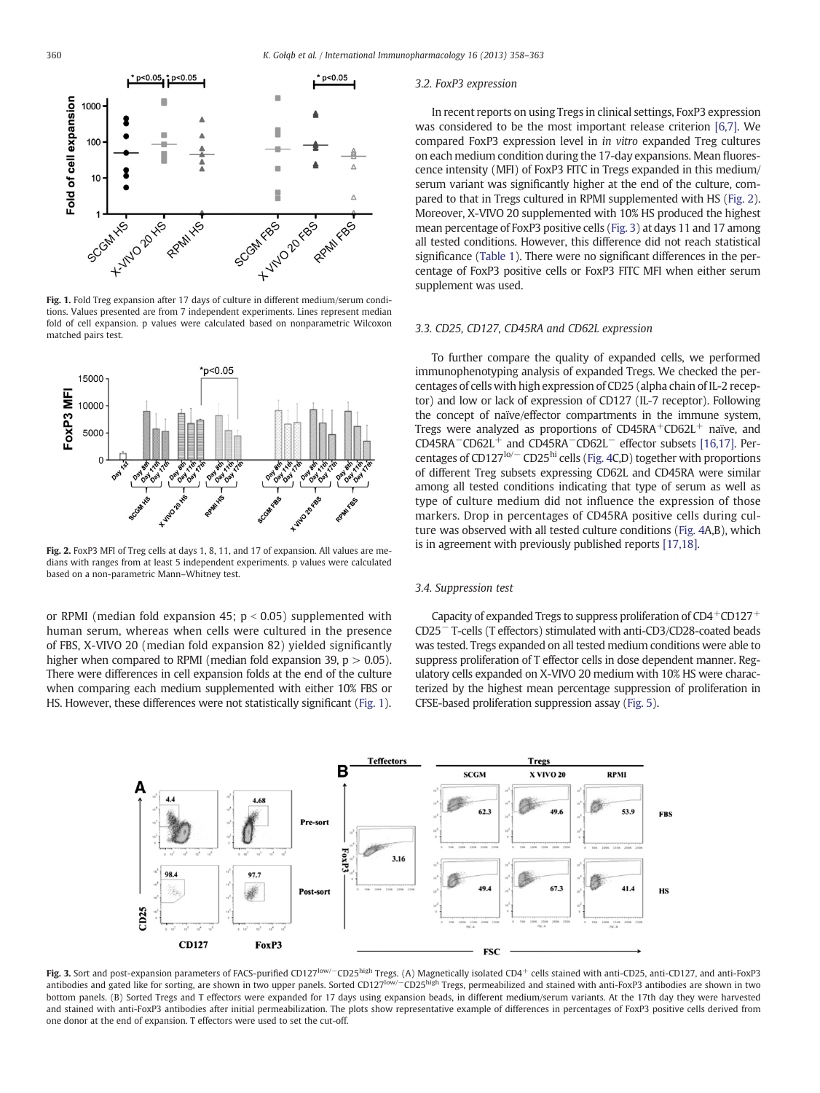

Fig. 1. Fold Treg expansion after 17 days of culture in different medium/serum conditions. Values presented are from 7 independent experiments. Lines represent median fold of cell expansion. p values were calculated based on nonparametric Wilcoxon matched pairs test.



Fig. 2. FoxP3 MFI of Treg cells at days 1, 8, 11, and 17 of expansion. All values are medians with ranges from at least 5 independent experiments. p values were calculated based on a non-parametric Mann–Whitney test.

or RPMI (median fold expansion 45;  $p < 0.05$ ) supplemented with human serum, whereas when cells were cultured in the presence of FBS, X-VIVO 20 (median fold expansion 82) yielded significantly higher when compared to RPMI (median fold expansion 39,  $p > 0.05$ ). There were differences in cell expansion folds at the end of the culture when comparing each medium supplemented with either 10% FBS or HS. However, these differences were not statistically significant (Fig. 1).

#### 3.2. FoxP3 expression

In recent reports on using Tregs in clinical settings, FoxP3 expression was considered to be the most important release criterion [\[6,7\].](#page-4-0) We compared FoxP3 expression level in in vitro expanded Treg cultures on each medium condition during the 17-day expansions. Mean fluorescence intensity (MFI) of FoxP3 FITC in Tregs expanded in this medium/ serum variant was significantly higher at the end of the culture, compared to that in Tregs cultured in RPMI supplemented with HS (Fig. 2). Moreover, X-VIVO 20 supplemented with 10% HS produced the highest mean percentage of FoxP3 positive cells (Fig. 3) at days 11 and 17 among all tested conditions. However, this difference did not reach statistical significance ([Table 1](#page-3-0)). There were no significant differences in the percentage of FoxP3 positive cells or FoxP3 FITC MFI when either serum supplement was used.

#### 3.3. CD25, CD127, CD45RA and CD62L expression

To further compare the quality of expanded cells, we performed immunophenotyping analysis of expanded Tregs. We checked the percentages of cells with high expression of CD25 (alpha chain of IL-2 receptor) and low or lack of expression of CD127 (IL-7 receptor). Following the concept of naïve/effector compartments in the immune system, Tregs were analyzed as proportions of  $CD45RA+CD62L+$  naïve, and CD45RA−CD62L<sup>+</sup> and CD45RA−CD62L<sup>−</sup> effector subsets [\[16,17\]](#page-5-0). Per-centages of CD127<sup>lo/−</sup> CD25<sup>hi</sup> cells ([Fig. 4C](#page-3-0),D) together with proportions of different Treg subsets expressing CD62L and CD45RA were similar among all tested conditions indicating that type of serum as well as type of culture medium did not influence the expression of those markers. Drop in percentages of CD45RA positive cells during culture was observed with all tested culture conditions [\(Fig. 4A](#page-3-0),B), which is in agreement with previously published reports [\[17,18\].](#page-5-0)

# 3.4. Suppression test

Capacity of expanded Tregs to suppress proliferation of  $CD4+CD127+$ CD25<sup>−</sup> T-cells (T effectors) stimulated with anti-CD3/CD28-coated beads was tested. Tregs expanded on all tested medium conditions were able to suppress proliferation of T effector cells in dose dependent manner. Regulatory cells expanded on X-VIVO 20 medium with 10% HS were characterized by the highest mean percentage suppression of proliferation in CFSE-based proliferation suppression assay [\(Fig. 5\)](#page-4-0).



Fig. 3. Sort and post-expansion parameters of FACS-purified CD127<sup>low/−</sup>CD25<sup>high</sup> Tregs. (A) Magnetically isolated CD4<sup>+</sup> cells stained with anti-CD25, anti-CD127, and anti-FoxP3 antibodies and gated like for sorting, are shown in two upper panels. Sorted CD127<sup>low/−</sup>CD25<sup>high</sup> Tregs, permeabilized and stained with anti-FoxP3 antibodies are shown in two bottom panels. (B) Sorted Tregs and T effectors were expanded for 17 days using expansion beads, in different medium/serum variants. At the 17th day they were harvested and stained with anti-FoxP3 antibodies after initial permeabilization. The plots show representative example of differences in percentages of FoxP3 positive cells derived from one donor at the end of expansion. T effectors were used to set the cut-off.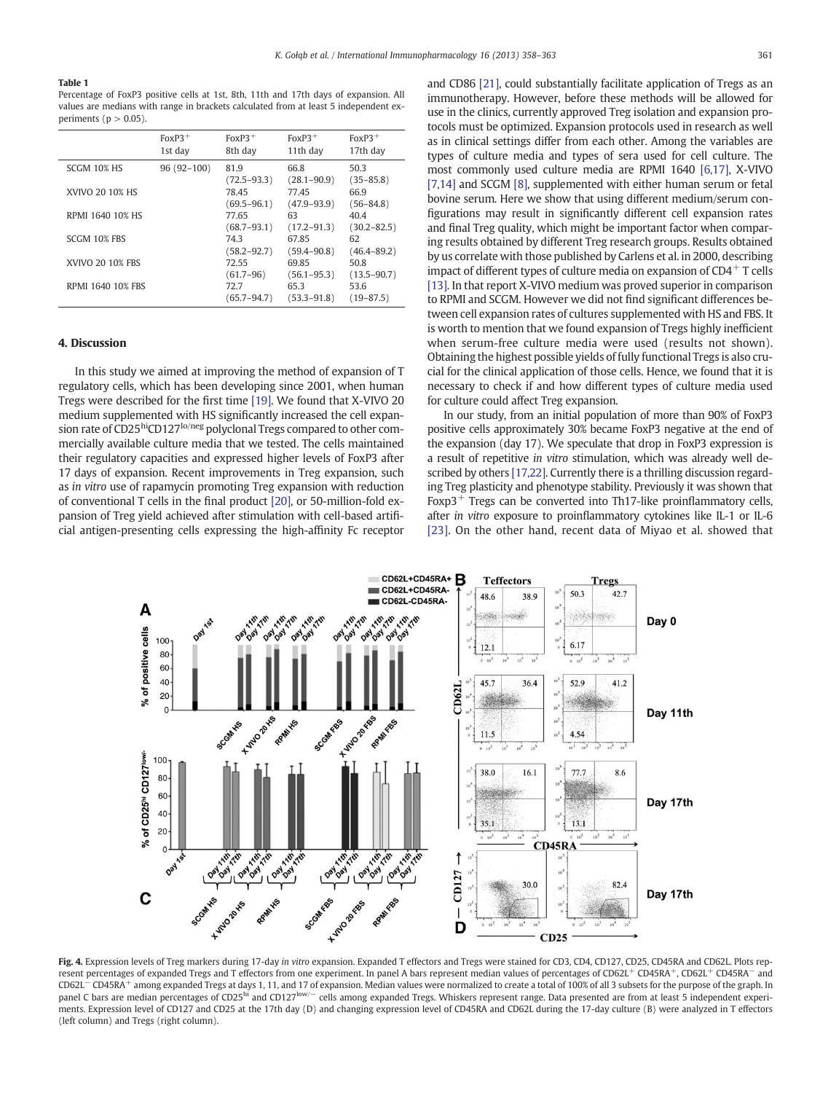#### <span id="page-3-0"></span>Table 1

Percentage of FoxP3 positive cells at 1st, 8th, 11th and 17th days of expansion. All values are medians with range in brackets calculated from at least 5 independent experiments ( $p > 0.05$ ).

|                          | $F_0xP_3^+$<br>1st day | $F_0xP_3^+$<br>8th day   | $FoxP3$ <sup>+</sup><br>11th day | $F_0xP_3^+$<br>17th day                  |
|--------------------------|------------------------|--------------------------|----------------------------------|------------------------------------------|
| SCGM 10% HS              | $96(92-100)$           | 81.9                     | 66.8                             | 50.3                                     |
| XVIVO 20 10% HS          |                        | $(72.5 - 93.3)$<br>78.45 | $(28.1 - 90.9)$<br>77.45         | $(35 - 85.8)$<br>66.9                    |
| RPMI 1640 10% HS         |                        | $(69.5 - 96.1)$<br>77.65 | $(47.9 - 93.9)$<br>63            | $(56 - 84.8)$<br>40.4                    |
|                          |                        | $(68.7 - 93.1)$          | $(17.2 - 91.3)$                  | $(30.2 - 82.5)$                          |
| SCGM 10% FBS             |                        | 74.3<br>$(58.2 - 92.7)$  | 67.85<br>$(59.4 - 90.8)$         | 62<br>$(46.4 - 89.2)$                    |
| <b>XVIVO 20 10% FBS</b>  |                        | 72.55<br>$(61.7 - 96)$   | 69.85<br>$(56.1 - 95.3)$         | 50.8                                     |
| <b>RPMI 1640 10% FBS</b> |                        | 72.7<br>$(65.7 - 94.7)$  | 65.3<br>$(53.3 - 91.8)$          | $(13.5 - 90.7)$<br>53.6<br>$(19 - 87.5)$ |

#### 4. Discussion

In this study we aimed at improving the method of expansion of T regulatory cells, which has been developing since 2001, when human Tregs were described for the first time [\[19\].](#page-5-0) We found that X-VIVO 20 medium supplemented with HS significantly increased the cell expansion rate of CD25hiCD127lo/neg polyclonal Tregs compared to other commercially available culture media that we tested. The cells maintained their regulatory capacities and expressed higher levels of FoxP3 after 17 days of expansion. Recent improvements in Treg expansion, such as in vitro use of rapamycin promoting Treg expansion with reduction of conventional T cells in the final product [\[20\]](#page-5-0), or 50-million-fold expansion of Treg yield achieved after stimulation with cell-based artificial antigen-presenting cells expressing the high-affinity Fc receptor and CD86 [\[21\]](#page-5-0), could substantially facilitate application of Tregs as an immunotherapy. However, before these methods will be allowed for use in the clinics, currently approved Treg isolation and expansion protocols must be optimized. Expansion protocols used in research as well as in clinical settings differ from each other. Among the variables are types of culture media and types of sera used for cell culture. The most commonly used culture media are RPMI 1640 [\[6,17\]](#page-4-0), X-VIVO [\[7,14\]](#page-4-0) and SCGM [\[8\]](#page-4-0), supplemented with either human serum or fetal bovine serum. Here we show that using different medium/serum configurations may result in significantly different cell expansion rates and final Treg quality, which might be important factor when comparing results obtained by different Treg research groups. Results obtained by us correlate with those published by Carlens et al. in 2000, describing impact of different types of culture media on expansion of  $CD4^+$  T cells [\[13\].](#page-4-0) In that report X-VIVO medium was proved superior in comparison to RPMI and SCGM. However we did not find significant differences between cell expansion rates of cultures supplemented with HS and FBS. It is worth to mention that we found expansion of Tregs highly inefficient when serum-free culture media were used (results not shown). Obtaining the highest possible yields of fully functional Tregs is also crucial for the clinical application of those cells. Hence, we found that it is necessary to check if and how different types of culture media used for culture could affect Treg expansion.

In our study, from an initial population of more than 90% of FoxP3 positive cells approximately 30% became FoxP3 negative at the end of the expansion (day 17). We speculate that drop in FoxP3 expression is a result of repetitive in vitro stimulation, which was already well described by others [\[17,22\]](#page-5-0). Currently there is a thrilling discussion regarding Treg plasticity and phenotype stability. Previously it was shown that Foxp3<sup>+</sup> Tregs can be converted into Th17-like proinflammatory cells, after in vitro exposure to proinflammatory cytokines like IL-1 or IL-6 [\[23\].](#page-5-0) On the other hand, recent data of Miyao et al. showed that



Fig. 4. Expression levels of Treg markers during 17-day in vitro expansion. Expanded T effectors and Tregs were stained for CD3, CD4, CD127, CD25, CD45RA and CD62L. Plots represent percentages of expanded Tregs and T effectors from one experiment. In panel A bars represent median values of percentages of CD62L<sup>+</sup> CD45RA<sup>+</sup>, CD62L<sup>+</sup> CD45RA<sup>+</sup>, CD62L<sup>+</sup> CD62L<sup>−</sup> CD45RA<sup>+</sup> among expanded Tregs at days 1, 11, and 17 of expansion. Median values were normalized to create a total of 100% of all 3 subsets for the purpose of the graph. In panel C bars are median percentages of CD25<sup>hi</sup> and CD127<sup>low/−</sup> cells among expanded Tregs. Whiskers represent range. Data presented are from at least 5 independent experiments. Expression level of CD127 and CD25 at the 17th day (D) and changing expression level of CD45RA and CD62L during the 17-day culture (B) were analyzed in T effectors (left column) and Tregs (right column).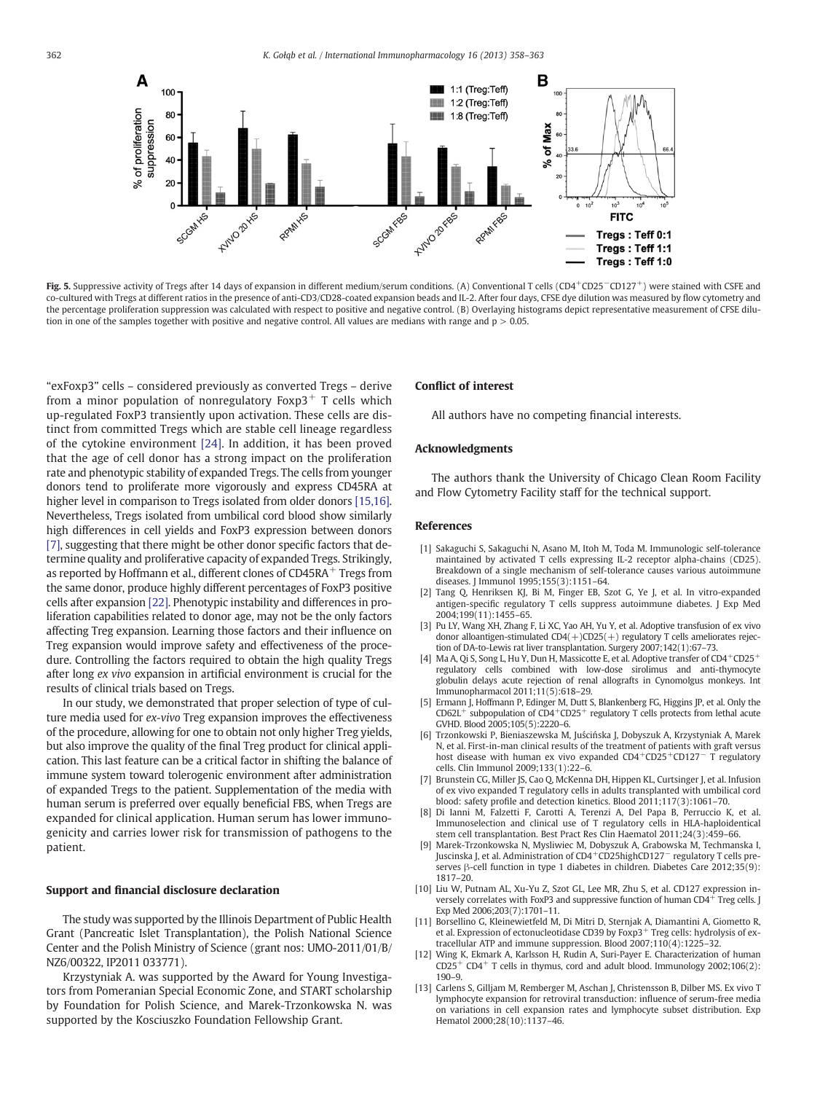<span id="page-4-0"></span>

Fig. 5. Suppressive activity of Tregs after 14 days of expansion in different medium/serum conditions. (A) Conventional T cells (CD4+CD25-CD127+) were stained with CSFE and co-cultured with Tregs at different ratios in the presence of anti-CD3/CD28-coated expansion beads and IL-2. After four days, CFSE dye dilution was measured by flow cytometry and the percentage proliferation suppression was calculated with respect to positive and negative control. (B) Overlaying histograms depict representative measurement of CFSE dilution in one of the samples together with positive and negative control. All values are medians with range and  $p > 0.05$ .

"exFoxp3" cells – considered previously as converted Tregs – derive from a minor population of nonregulatory  $Foxp3$ <sup>+</sup> T cells which up-regulated FoxP3 transiently upon activation. These cells are distinct from committed Tregs which are stable cell lineage regardless of the cytokine environment [\[24\]](#page-5-0). In addition, it has been proved that the age of cell donor has a strong impact on the proliferation rate and phenotypic stability of expanded Tregs. The cells from younger donors tend to proliferate more vigorously and express CD45RA at higher level in comparison to Tregs isolated from older donors [\[15,16\].](#page-5-0) Nevertheless, Tregs isolated from umbilical cord blood show similarly high differences in cell yields and FoxP3 expression between donors [7], suggesting that there might be other donor specific factors that determine quality and proliferative capacity of expanded Tregs. Strikingly, as reported by Hoffmann et al., different clones of CD45RA<sup>+</sup> Tregs from the same donor, produce highly different percentages of FoxP3 positive cells after expansion [\[22\]](#page-5-0). Phenotypic instability and differences in proliferation capabilities related to donor age, may not be the only factors affecting Treg expansion. Learning those factors and their influence on Treg expansion would improve safety and effectiveness of the procedure. Controlling the factors required to obtain the high quality Tregs after long ex vivo expansion in artificial environment is crucial for the results of clinical trials based on Tregs.

In our study, we demonstrated that proper selection of type of culture media used for ex-vivo Treg expansion improves the effectiveness of the procedure, allowing for one to obtain not only higher Treg yields, but also improve the quality of the final Treg product for clinical application. This last feature can be a critical factor in shifting the balance of immune system toward tolerogenic environment after administration of expanded Tregs to the patient. Supplementation of the media with human serum is preferred over equally beneficial FBS, when Tregs are expanded for clinical application. Human serum has lower immunogenicity and carries lower risk for transmission of pathogens to the patient.

### Support and financial disclosure declaration

The study was supported by the Illinois Department of Public Health Grant (Pancreatic Islet Transplantation), the Polish National Science Center and the Polish Ministry of Science (grant nos: UMO-2011/01/B/ NZ6/00322, IP2011 033771).

Krzystyniak A. was supported by the Award for Young Investigators from Pomeranian Special Economic Zone, and START scholarship by Foundation for Polish Science, and Marek-Trzonkowska N. was supported by the Kosciuszko Foundation Fellowship Grant.

# Conflict of interest

All authors have no competing financial interests.

# Acknowledgments

The authors thank the University of Chicago Clean Room Facility and Flow Cytometry Facility staff for the technical support.

# References

- [1] Sakaguchi S, Sakaguchi N, Asano M, Itoh M, Toda M. Immunologic self-tolerance maintained by activated T cells expressing IL-2 receptor alpha-chains (CD25). Breakdown of a single mechanism of self-tolerance causes various autoimmune diseases. J Immunol 1995;155(3):1151–64.
- [2] Tang Q, Henriksen KJ, Bi M, Finger EB, Szot G, Ye J, et al. In vitro-expanded antigen-specific regulatory T cells suppress autoimmune diabetes. J Exp Med 2004;199(11):1455–65.
- [3] Pu LY, Wang XH, Zhang F, Li XC, Yao AH, Yu Y, et al. Adoptive transfusion of ex vivo donor alloantigen-stimulated CD4(+)CD25(+) regulatory T cells ameliorates rejection of DA-to-Lewis rat liver transplantation. Surgery 2007;142(1):67–73.
- [4] Ma A, Qi S, Song L, Hu Y, Dun H, Massicotte E, et al. Adoptive transfer of CD4<sup>+</sup>CD25<sup>+</sup> regulatory cells combined with low-dose sirolimus and anti-thymocyte globulin delays acute rejection of renal allografts in Cynomolgus monkeys. Int Immunopharmacol 2011;11(5):618–29.
- [5] Ermann J, Hoffmann P, Edinger M, Dutt S, Blankenberg FG, Higgins JP, et al. Only the  $CD62L<sup>+</sup>$  subpopulation of  $CD4+CD25<sup>+</sup>$  regulatory T cells protects from lethal acute GVHD. Blood 2005;105(5):2220–6.
- [6] Trzonkowski P, Bieniaszewska M, Juścińska J, Dobyszuk A, Krzystyniak A, Marek N, et al. First-in-man clinical results of the treatment of patients with graft versus host disease with human ex vivo expanded CD4<sup>+</sup>CD25<sup>+</sup>CD127<sup>−</sup> T regulatory cells. Clin Immunol 2009;133(1):22–6.
- Brunstein CG, Miller JS, Cao Q, McKenna DH, Hippen KL, Curtsinger J, et al. Infusion of ex vivo expanded T regulatory cells in adults transplanted with umbilical cord blood: safety profile and detection kinetics. Blood 2011;117(3):1061–70.
- [8] Di Ianni M, Falzetti F, Carotti A, Terenzi A, Del Papa B, Perruccio K, et al. Immunoselection and clinical use of T regulatory cells in HLA-haploidentical stem cell transplantation. Best Pract Res Clin Haematol 2011;24(3):459–66.
- Marek-Trzonkowska N, Mysliwiec M, Dobyszuk A, Grabowska M, Techmanska I, Juscinska J, et al. Administration of CD4+CD25highCD127<sup>−</sup> regulatory T cells preserves β-cell function in type 1 diabetes in children. Diabetes Care 2012;35(9): 1817–20.
- [10] Liu W, Putnam AL, Xu-Yu Z, Szot GL, Lee MR, Zhu S, et al. CD127 expression inversely correlates with FoxP3 and suppressive function of human  $CD4^+$  Treg cells. J Exp Med 2006;203(7):1701–11.
- [11] Borsellino G, Kleinewietfeld M, Di Mitri D, Sternjak A, Diamantini A, Giometto R, et al. Expression of ectonucleotidase CD39 by Foxp3<sup>+</sup> Treg cells: hydrolysis of extracellular ATP and immune suppression. Blood 2007;110(4):1225–32.
- [12] Wing K, Ekmark A, Karlsson H, Rudin A, Suri-Payer E. Characterization of human  $CD25^+$  CD4<sup>+</sup> T cells in thymus, cord and adult blood. Immunology 2002;106(2): 190–9.
- [13] Carlens S, Gilljam M, Remberger M, Aschan J, Christensson B, Dilber MS. Ex vivo T lymphocyte expansion for retroviral transduction: influence of serum-free media on variations in cell expansion rates and lymphocyte subset distribution. Exp Hematol 2000;28(10):1137–46.